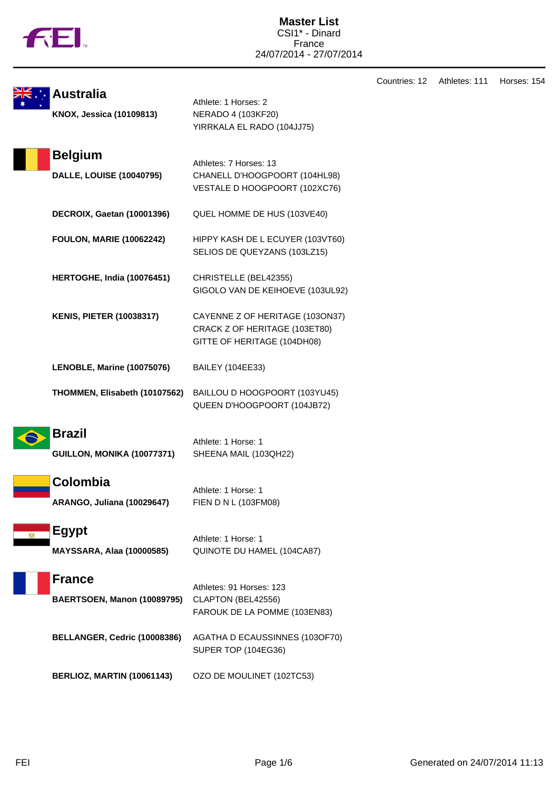

| <b>Australia</b><br>KNOX, Jessica (10109813)      | Athlete: 1 Horses: 2<br>NERADO 4 (103KF20)<br>YIRRKALA EL RADO (104JJ75)                        | Countries: 12 | Athletes: 111 | Horses: 154 |
|---------------------------------------------------|-------------------------------------------------------------------------------------------------|---------------|---------------|-------------|
| <b>Belgium</b><br><b>DALLE, LOUISE (10040795)</b> | Athletes: 7 Horses: 13<br>CHANELL D'HOOGPOORT (104HL98)<br>VESTALE D HOOGPOORT (102XC76)        |               |               |             |
| <b>DECROIX, Gaetan (10001396)</b>                 | QUEL HOMME DE HUS (103VE40)                                                                     |               |               |             |
| <b>FOULON, MARIE (10062242)</b>                   | HIPPY KASH DE L ECUYER (103VT60)<br>SELIOS DE QUEYZANS (103LZ15)                                |               |               |             |
| HERTOGHE, India (10076451)                        | CHRISTELLE (BEL42355)<br>GIGOLO VAN DE KEIHOEVE (103UL92)                                       |               |               |             |
| <b>KENIS, PIETER (10038317)</b>                   | CAYENNE Z OF HERITAGE (103ON37)<br>CRACK Z OF HERITAGE (103ET80)<br>GITTE OF HERITAGE (104DH08) |               |               |             |
| LENOBLE, Marine (10075076)                        | <b>BAILEY (104EE33)</b>                                                                         |               |               |             |
| THOMMEN, Elisabeth (10107562)                     | BAILLOU D HOOGPOORT (103YU45)<br>QUEEN D'HOOGPOORT (104JB72)                                    |               |               |             |
| <b>Brazil</b><br>GUILLON, MONIKA (10077371)       | Athlete: 1 Horse: 1<br>SHEENA MAIL (103QH22)                                                    |               |               |             |
| Colombia<br><b>ARANGO, Juliana (10029647)</b>     | Athlete: 1 Horse: 1<br>FIEN D N L (103FM08)                                                     |               |               |             |
| <b>Egypt</b><br><b>MAYSSARA, Alaa (10000585)</b>  | Athlete: 1 Horse: 1<br>QUINOTE DU HAMEL (104CA87)                                               |               |               |             |
| <b>France</b><br>BAERTSOEN, Manon (10089795)      | Athletes: 91 Horses: 123<br>CLAPTON (BEL42556)<br>FAROUK DE LA POMME (103EN83)                  |               |               |             |
| BELLANGER, Cedric (10008386)                      | AGATHA D ECAUSSINNES (103OF70)<br><b>SUPER TOP (104EG36)</b>                                    |               |               |             |
| BERLIOZ, MARTIN (10061143)                        | OZO DE MOULINET (102TC53)                                                                       |               |               |             |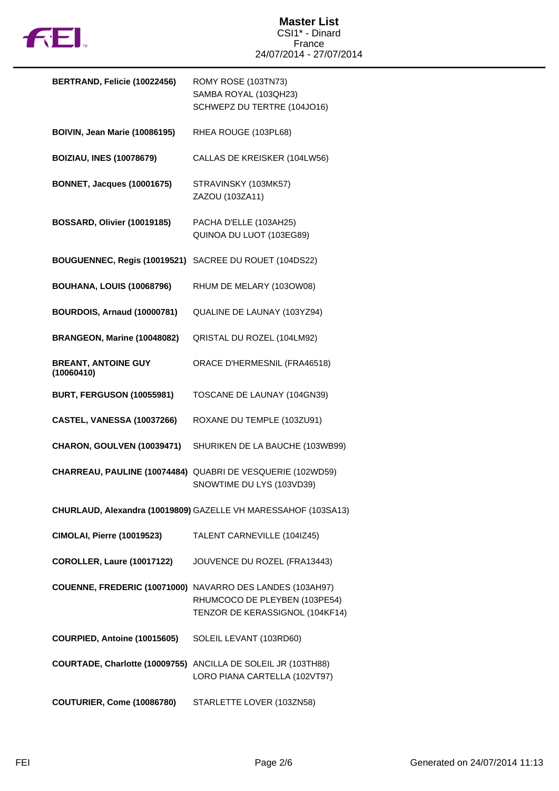

| BERTRAND, Felicie (10022456)             | ROMY ROSE (103TN73)<br>SAMBA ROYAL (103QH23)<br>SCHWEPZ DU TERTRE (104JO16)                                                   |
|------------------------------------------|-------------------------------------------------------------------------------------------------------------------------------|
| <b>BOIVIN, Jean Marie (10086195)</b>     | RHEA ROUGE (103PL68)                                                                                                          |
| <b>BOIZIAU, INES (10078679)</b>          | CALLAS DE KREISKER (104LW56)                                                                                                  |
| <b>BONNET, Jacques (10001675)</b>        | STRAVINSKY (103MK57)<br>ZAZOU (103ZA11)                                                                                       |
| <b>BOSSARD, Olivier (10019185)</b>       | PACHA D'ELLE (103AH25)<br>QUINOA DU LUOT (103EG89)                                                                            |
| BOUGUENNEC, Regis (10019521)             | SACREE DU ROUET (104DS22)                                                                                                     |
| <b>BOUHANA, LOUIS (10068796)</b>         | RHUM DE MELARY (103OW08)                                                                                                      |
| <b>BOURDOIS, Arnaud (10000781)</b>       | QUALINE DE LAUNAY (103YZ94)                                                                                                   |
| BRANGEON, Marine (10048082)              | QRISTAL DU ROZEL (104LM92)                                                                                                    |
| <b>BREANT, ANTOINE GUY</b><br>(10060410) | ORACE D'HERMESNIL (FRA46518)                                                                                                  |
| <b>BURT, FERGUSON (10055981)</b>         | TOSCANE DE LAUNAY (104GN39)                                                                                                   |
| CASTEL, VANESSA (10037266)               | ROXANE DU TEMPLE (103ZU91)                                                                                                    |
| CHARON, GOULVEN (10039471)               | SHURIKEN DE LA BAUCHE (103WB99)                                                                                               |
|                                          | CHARREAU, PAULINE (10074484) QUABRI DE VESQUERIE (102WD59)<br>SNOWTIME DU LYS (103VD39)                                       |
|                                          | CHURLAUD, Alexandra (10019809) GAZELLE VH MARESSAHOF (103SA13)                                                                |
| <b>CIMOLAI, Pierre (10019523)</b>        | TALENT CARNEVILLE (104IZ45)                                                                                                   |
| <b>COROLLER, Laure (10017122)</b>        | JOUVENCE DU ROZEL (FRA13443)                                                                                                  |
|                                          | COUENNE, FREDERIC (10071000) NAVARRO DES LANDES (103AH97)<br>RHUMCOCO DE PLEYBEN (103PE54)<br>TENZOR DE KERASSIGNOL (104KF14) |
| COURPIED, Antoine (10015605)             | SOLEIL LEVANT (103RD60)                                                                                                       |
|                                          | COURTADE, Charlotte (10009755) ANCILLA DE SOLEIL JR (103TH88)<br>LORO PIANA CARTELLA (102VT97)                                |
| COUTURIER, Come (10086780)               | STARLETTE LOVER (103ZN58)                                                                                                     |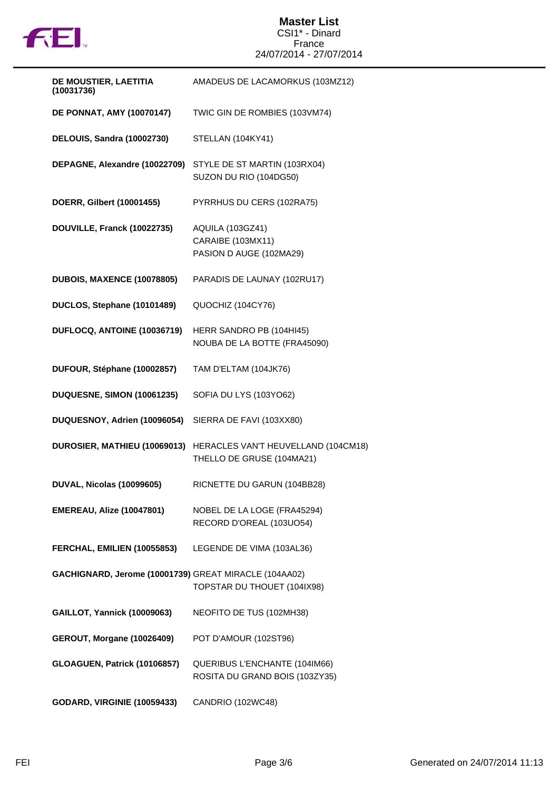

## **Master List** CSI1\* - Dinard France 24/07/2014 - 27/07/2014

| DE MOUSTIER, LAETITIA<br>(10031736)                   | AMADEUS DE LACAMORKUS (103MZ12)                                         |
|-------------------------------------------------------|-------------------------------------------------------------------------|
| <b>DE PONNAT, AMY (10070147)</b>                      | TWIC GIN DE ROMBIES (103VM74)                                           |
| DELOUIS, Sandra (10002730)                            | STELLAN (104KY41)                                                       |
| DEPAGNE, Alexandre (10022709)                         | STYLE DE ST MARTIN (103RX04)<br>SUZON DU RIO (104DG50)                  |
| DOERR, Gilbert (10001455)                             | PYRRHUS DU CERS (102RA75)                                               |
| DOUVILLE, Franck (10022735)                           | <b>AQUILA (103GZ41)</b><br>CARAIBE (103MX11)<br>PASION D AUGE (102MA29) |
| DUBOIS, MAXENCE (10078805)                            | PARADIS DE LAUNAY (102RU17)                                             |
| DUCLOS, Stephane (10101489)                           | QUOCHIZ (104CY76)                                                       |
| DUFLOCQ, ANTOINE (10036719)                           | HERR SANDRO PB (104HI45)<br>NOUBA DE LA BOTTE (FRA45090)                |
| DUFOUR, Stéphane (10002857)                           | TAM D'ELTAM (104JK76)                                                   |
| <b>DUQUESNE, SIMON (10061235)</b>                     | SOFIA DU LYS (103YO62)                                                  |
| DUQUESNOY, Adrien (10096054)                          | SIERRA DE FAVI (103XX80)                                                |
| DUROSIER, MATHIEU (10069013)                          | HERACLES VAN'T HEUVELLAND (104CM18)<br>THELLO DE GRUSE (104MA21)        |
| DUVAL, Nicolas (10099605)                             | RICNETTE DU GARUN (104BB28)                                             |
| <b>EMEREAU, Alize (10047801)</b>                      | NOBEL DE LA LOGE (FRA45294)<br>RECORD D'OREAL (103UO54)                 |
| FERCHAL, EMILIEN (10055853)                           | LEGENDE DE VIMA (103AL36)                                               |
| GACHIGNARD, Jerome (10001739) GREAT MIRACLE (104AA02) | TOPSTAR DU THOUET (104IX98)                                             |
| <b>GAILLOT, Yannick (10009063)</b>                    | NEOFITO DE TUS (102MH38)                                                |
| <b>GEROUT, Morgane (10026409)</b>                     | POT D'AMOUR (102ST96)                                                   |
| GLOAGUEN, Patrick (10106857)                          | QUERIBUS L'ENCHANTE (104IM66)<br>ROSITA DU GRAND BOIS (103ZY35)         |
| <b>GODARD, VIRGINIE (10059433)</b>                    | CANDRIO (102WC48)                                                       |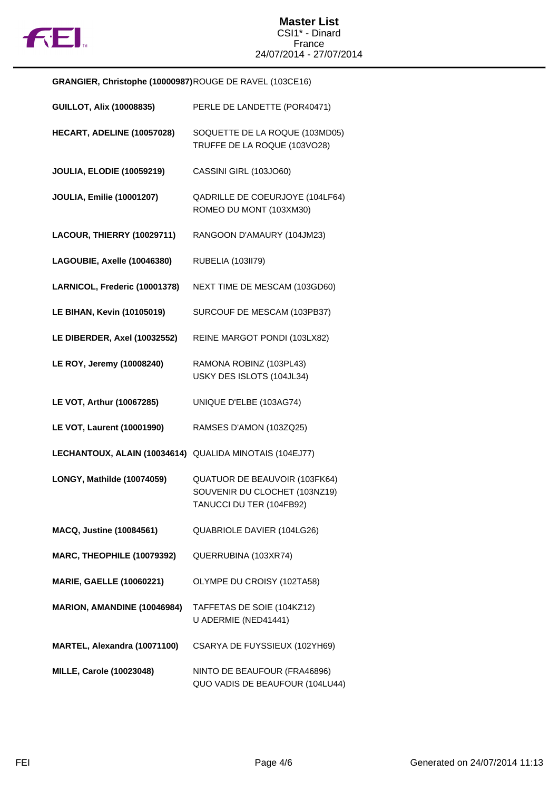

**GRANGIER, Christophe (10000987)**ROUGE DE RAVEL (103CE16)

| <b>GUILLOT, Alix (10008835)</b>                         | PERLE DE LANDETTE (POR40471)                                                               |
|---------------------------------------------------------|--------------------------------------------------------------------------------------------|
| HECART, ADELINE (10057028)                              | SOQUETTE DE LA ROQUE (103MD05)<br>TRUFFE DE LA ROQUE (103VO28)                             |
| <b>JOULIA, ELODIE (10059219)</b>                        | CASSINI GIRL (103JO60)                                                                     |
| <b>JOULIA, Emilie (10001207)</b>                        | QADRILLE DE COEURJOYE (104LF64)<br>ROMEO DU MONT (103XM30)                                 |
| LACOUR, THIERRY (10029711)                              | RANGOON D'AMAURY (104JM23)                                                                 |
| LAGOUBIE, Axelle (10046380)                             | RUBELIA (103II79)                                                                          |
| LARNICOL, Frederic (10001378)                           | NEXT TIME DE MESCAM (103GD60)                                                              |
| <b>LE BIHAN, Kevin (10105019)</b>                       | SURCOUF DE MESCAM (103PB37)                                                                |
| LE DIBERDER, Axel (10032552)                            | REINE MARGOT PONDI (103LX82)                                                               |
| LE ROY, Jeremy (10008240)                               | RAMONA ROBINZ (103PL43)<br>USKY DES ISLOTS (104JL34)                                       |
| LE VOT, Arthur (10067285)                               | UNIQUE D'ELBE (103AG74)                                                                    |
| <b>LE VOT, Laurent (10001990)</b>                       | RAMSES D'AMON (103ZQ25)                                                                    |
| LECHANTOUX, ALAIN (10034614) QUALIDA MINOTAIS (104EJ77) |                                                                                            |
| LONGY, Mathilde (10074059)                              | QUATUOR DE BEAUVOIR (103FK64)<br>SOUVENIR DU CLOCHET (103NZ19)<br>TANUCCI DU TER (104FB92) |
| <b>MACQ, Justine (10084561)</b>                         | QUABRIOLE DAVIER (104LG26)                                                                 |
| <b>MARC, THEOPHILE (10079392)</b>                       | QUERRUBINA (103XR74)                                                                       |
| <b>MARIE, GAELLE (10060221)</b>                         | OLYMPE DU CROISY (102TA58)                                                                 |
| MARION, AMANDINE (10046984)                             | TAFFETAS DE SOIE (104KZ12)<br>U ADERMIE (NED41441)                                         |
| MARTEL, Alexandra (10071100)                            | CSARYA DE FUYSSIEUX (102YH69)                                                              |
| <b>MILLE, Carole (10023048)</b>                         | NINTO DE BEAUFOUR (FRA46896)<br>QUO VADIS DE BEAUFOUR (104LU44)                            |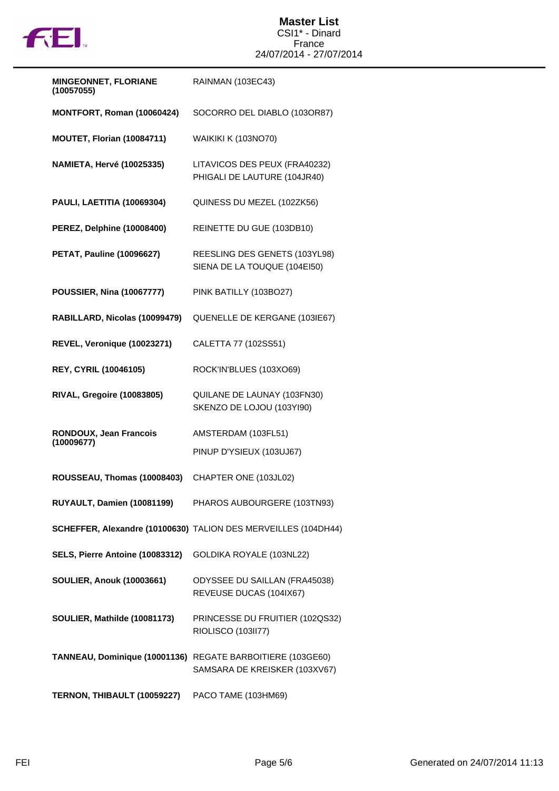

| <b>MINGEONNET, FLORIANE</b><br>(10057055) | RAINMAN (103EC43)                                              |
|-------------------------------------------|----------------------------------------------------------------|
| MONTFORT, Roman (10060424)                | SOCORRO DEL DIABLO (103OR87)                                   |
| <b>MOUTET, Florian (10084711)</b>         | <b>WAIKIKI K (103NO70)</b>                                     |
| <b>NAMIETA, Hervé (10025335)</b>          | LITAVICOS DES PEUX (FRA40232)<br>PHIGALI DE LAUTURE (104JR40)  |
| PAULI, LAETITIA (10069304)                | QUINESS DU MEZEL (102ZK56)                                     |
| <b>PEREZ, Delphine (10008400)</b>         | REINETTE DU GUE (103DB10)                                      |
| <b>PETAT, Pauline (10096627)</b>          | REESLING DES GENETS (103YL98)<br>SIENA DE LA TOUQUE (104EI50)  |
| <b>POUSSIER, Nina (10067777)</b>          | PINK BATILLY (103BO27)                                         |
| RABILLARD, Nicolas (10099479)             | QUENELLE DE KERGANE (103IE67)                                  |
| REVEL, Veronique (10023271)               | CALETTA 77 (102SS51)                                           |
| <b>REY, CYRIL (10046105)</b>              | ROCK'IN'BLUES (103XO69)                                        |
| <b>RIVAL, Gregoire (10083805)</b>         | QUILANE DE LAUNAY (103FN30)<br>SKENZO DE LOJOU (103YI90)       |
| RONDOUX, Jean Francois<br>(10009677)      | AMSTERDAM (103FL51)                                            |
|                                           | PINUP D'YSIEUX (103UJ67)                                       |
| ROUSSEAU, Thomas (10008403)               | CHAPTER ONE (103JL02)                                          |
| RUYAULT, Damien (10081199)                | PHAROS AUBOURGERE (103TN93)                                    |
|                                           | SCHEFFER, Alexandre (10100630) TALION DES MERVEILLES (104DH44) |
| SELS, Pierre Antoine (10083312)           | GOLDIKA ROYALE (103NL22)                                       |
| <b>SOULIER, Anouk (10003661)</b>          | ODYSSEE DU SAILLAN (FRA45038)<br>REVEUSE DUCAS (104IX67)       |
| SOULIER, Mathilde (10081173)              | PRINCESSE DU FRUITIER (102QS32)<br>RIOLISCO (103II77)          |
| TANNEAU, Dominique (10001136)             | REGATE BARBOITIERE (103GE60)<br>SAMSARA DE KREISKER (103XV67)  |
| TERNON, THIBAULT (10059227)               | PACO TAME (103HM69)                                            |